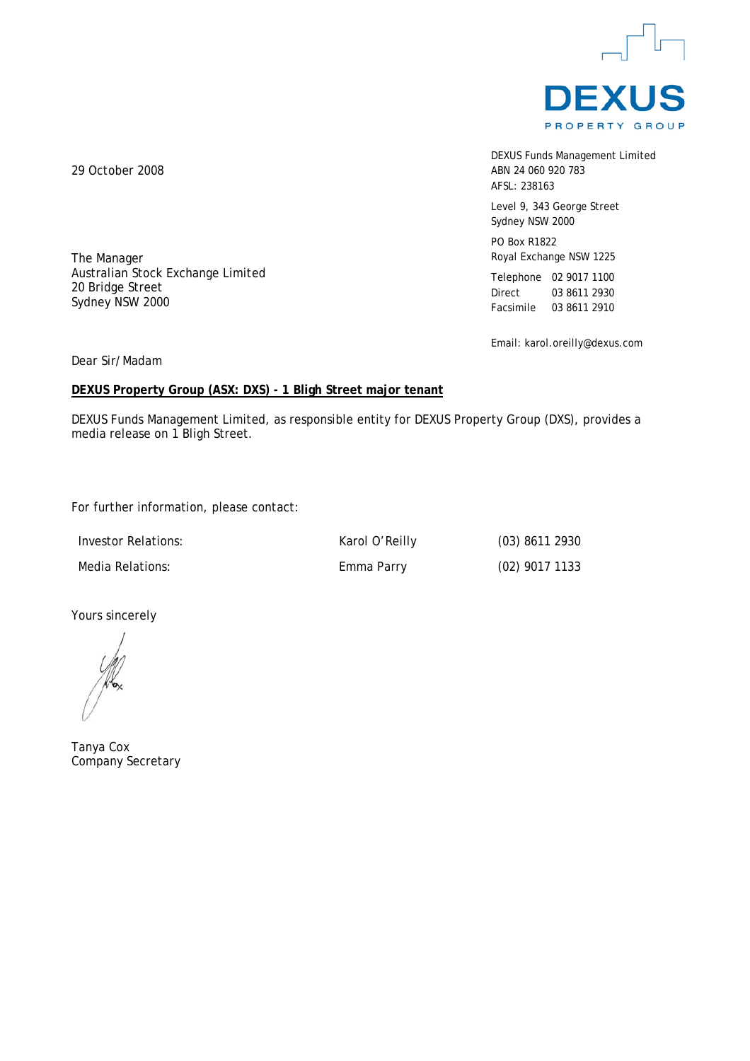

DEXUS Funds Management Limited ABN 24 060 920 783 AFSL: 238163

Level 9, 343 George Street Sydney NSW 2000

PO Box R1822 Royal Exchange NSW 1225

Telephone 02 9017 1100 Direct 03 8611 2930 Facsimile 03 8611 2910

Email: karol.oreilly@dexus.com

29 October 2008

The Manager Australian Stock Exchange Limited 20 Bridge Street Sydney NSW 2000

Dear Sir/Madam

## **DEXUS Property Group (ASX: DXS) - 1 Bligh Street major tenant**

DEXUS Funds Management Limited, as responsible entity for DEXUS Property Group (DXS), provides a media release on 1 Bligh Street.

For further information, please contact:

| Investor Relations: | Karol O'Reilly | $(03)$ 8611 2930 |
|---------------------|----------------|------------------|
| Media Relations:    | Emma Parry     | $(02)$ 9017 1133 |

Yours sincerely

Tanya Cox Company Secretary